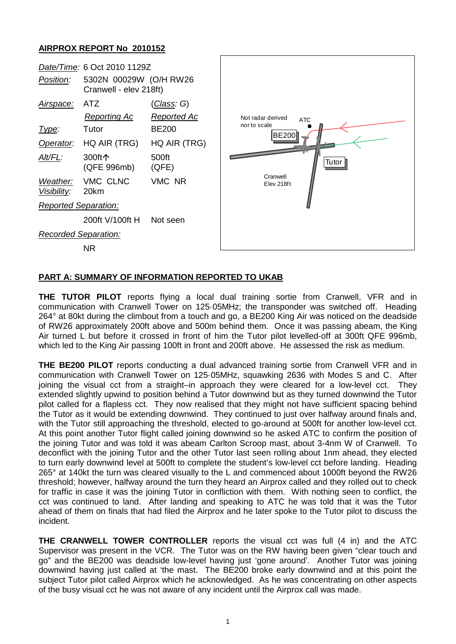## **AIRPROX REPORT No 2010152**

| Position:                                                                                            | Date/Time: 6 Oct 2010 1129Z<br>5302N 00029W (O/H RW26<br>Cranwell - elev 218ft)                         |                                                                                                      |                                                                                      |
|------------------------------------------------------------------------------------------------------|---------------------------------------------------------------------------------------------------------|------------------------------------------------------------------------------------------------------|--------------------------------------------------------------------------------------|
| Airspace:<br>Type:<br>Operator:<br>Alt/FL:<br>Weather:<br>Visibility:<br><b>Reported Separation:</b> | <b>ATZ</b><br><b>Reporting Ac</b><br>Tutor<br>HQ AIR (TRG)<br>300ft个<br>(QFE 996mb)<br>VMC CLNC<br>20km | <u>(Class</u> : G)<br><b>Reported Ac</b><br><b>BE200</b><br>HQ AIR (TRG)<br>500ft<br>(QFE)<br>VMC NR | Not radar derived<br>ATC<br>nor to scale<br>BE200<br>Tutor<br>Cranwell<br>Elev 218ft |
|                                                                                                      | 200ft V/100ft H                                                                                         | Not seen                                                                                             |                                                                                      |
| <b>Recorded Separation:</b>                                                                          |                                                                                                         |                                                                                                      |                                                                                      |
|                                                                                                      | <b>NR</b>                                                                                               |                                                                                                      |                                                                                      |

## **PART A: SUMMARY OF INFORMATION REPORTED TO UKAB**

**THE TUTOR PILOT** reports flying a local dual training sortie from Cranwell, VFR and in communication with Cranwell Tower on 125·05MHz; the transponder was switched off. Heading 264° at 80kt during the climbout from a touch and go, a BE200 King Air was noticed on the deadside of RW26 approximately 200ft above and 500m behind them. Once it was passing abeam, the King Air turned L but before it crossed in front of him the Tutor pilot levelled-off at 300ft QFE 996mb, which led to the King Air passing 100ft in front and 200ft above. He assessed the risk as medium.

**THE BE200 PILOT** reports conducting a dual advanced training sortie from Cranwell VFR and in communication with Cranwell Tower on 125·05MHz, squawking 2636 with Modes S and C. After joining the visual cct from a straight–in approach they were cleared for a low-level cct. They extended slightly upwind to position behind a Tutor downwind but as they turned downwind the Tutor pilot called for a flapless cct. They now realised that they might not have sufficient spacing behind the Tutor as it would be extending downwind. They continued to just over halfway around finals and, with the Tutor still approaching the threshold, elected to go-around at 500ft for another low-level cct. At this point another Tutor flight called joining downwind so he asked ATC to confirm the position of the joining Tutor and was told it was abeam Carlton Scroop mast, about 3-4nm W of Cranwell. To deconflict with the joining Tutor and the other Tutor last seen rolling about 1nm ahead, they elected to turn early downwind level at 500ft to complete the student's low-level cct before landing. Heading 265° at 140kt the turn was cleared visually to the L and commenced about 1000ft beyond the RW26 threshold; however, halfway around the turn they heard an Airprox called and they rolled out to check for traffic in case it was the joining Tutor in confliction with them. With nothing seen to conflict, the cct was continued to land. After landing and speaking to ATC he was told that it was the Tutor ahead of them on finals that had filed the Airprox and he later spoke to the Tutor pilot to discuss the incident.

**THE CRANWELL TOWER CONTROLLER** reports the visual cct was full (4 in) and the ATC Supervisor was present in the VCR. The Tutor was on the RW having been given "clear touch and go" and the BE200 was deadside low-level having just 'gone around'. Another Tutor was joining downwind having just called at 'the mast. The BE200 broke early downwind and at this point the subject Tutor pilot called Airprox which he acknowledged. As he was concentrating on other aspects of the busy visual cct he was not aware of any incident until the Airprox call was made.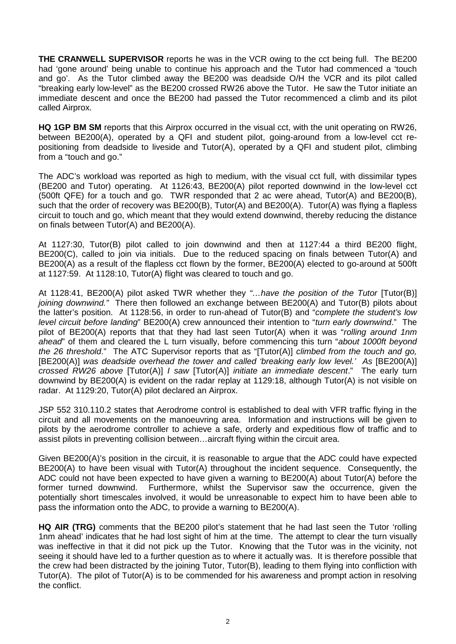**THE CRANWELL SUPERVISOR** reports he was in the VCR owing to the cct being full. The BE200 had 'gone around' being unable to continue his approach and the Tutor had commenced a 'touch and go'. As the Tutor climbed away the BE200 was deadside O/H the VCR and its pilot called "breaking early low-level" as the BE200 crossed RW26 above the Tutor. He saw the Tutor initiate an immediate descent and once the BE200 had passed the Tutor recommenced a climb and its pilot called Airprox.

**HQ 1GP BM SM** reports that this Airprox occurred in the visual cct, with the unit operating on RW26, between BE200(A), operated by a QFI and student pilot, going-around from a low-level cct repositioning from deadside to liveside and Tutor(A), operated by a QFI and student pilot, climbing from a "touch and go."

The ADC's workload was reported as high to medium, with the visual cct full, with dissimilar types (BE200 and Tutor) operating. At 1126:43, BE200(A) pilot reported downwind in the low-level cct (500ft QFE) for a touch and go. TWR responded that 2 ac were ahead, Tutor(A) and BE200(B), such that the order of recovery was BE200(B), Tutor(A) and BE200(A). Tutor(A) was flying a flapless circuit to touch and go, which meant that they would extend downwind, thereby reducing the distance on finals between Tutor(A) and BE200(A).

At 1127:30, Tutor(B) pilot called to join downwind and then at 1127:44 a third BE200 flight, BE200(C), called to join via initials. Due to the reduced spacing on finals between Tutor(A) and BE200(A) as a result of the flapless cct flown by the former, BE200(A) elected to go-around at 500ft at 1127:59. At 1128:10, Tutor(A) flight was cleared to touch and go.

At 1128:41, BE200(A) pilot asked TWR whether they *"…have the position of the Tutor* [Tutor(B)] *joining downwind."* There then followed an exchange between BE200(A) and Tutor(B) pilots about the latter's position. At 1128:56, in order to run-ahead of Tutor(B) and "*complete the student's low level circuit before landing*" BE200(A) crew announced their intention to "*turn early downwind*." The pilot of BE200(A) reports that that they had last seen Tutor(A) when it was "*rolling around 1nm ahead*" of them and cleared the L turn visually, before commencing this turn "*about 1000ft beyond the 26 threshold*." The ATC Supervisor reports that as "[Tutor(A)] *climbed from the touch and go,*  [BE200(A)] was deadside overhead the tower and called 'breaking early low level.' As [BE200(A)] *crossed RW26 above* [Tutor(A)] *I saw* [Tutor(A)] *initiate an immediate descent*." The early turn downwind by BE200(A) is evident on the radar replay at 1129:18, although Tutor(A) is not visible on radar. At 1129:20, Tutor(A) pilot declared an Airprox.

JSP 552 310.110.2 states that Aerodrome control is established to deal with VFR traffic flying in the circuit and all movements on the manoeuvring area. Information and instructions will be given to pilots by the aerodrome controller to achieve a safe, orderly and expeditious flow of traffic and to assist pilots in preventing collision between…aircraft flying within the circuit area.

Given BE200(A)'s position in the circuit, it is reasonable to argue that the ADC could have expected BE200(A) to have been visual with Tutor(A) throughout the incident sequence. Consequently, the ADC could not have been expected to have given a warning to BE200(A) about Tutor(A) before the former turned downwind. Furthermore, whilst the Supervisor saw the occurrence, given the potentially short timescales involved, it would be unreasonable to expect him to have been able to pass the information onto the ADC, to provide a warning to BE200(A).

**HQ AIR (TRG)** comments that the BE200 pilot's statement that he had last seen the Tutor 'rolling 1nm ahead' indicates that he had lost sight of him at the time. The attempt to clear the turn visually was ineffective in that it did not pick up the Tutor. Knowing that the Tutor was in the vicinity, not seeing it should have led to a further question as to where it actually was. It is therefore possible that the crew had been distracted by the joining Tutor, Tutor(B), leading to them flying into confliction with Tutor(A). The pilot of Tutor(A) is to be commended for his awareness and prompt action in resolving the conflict.